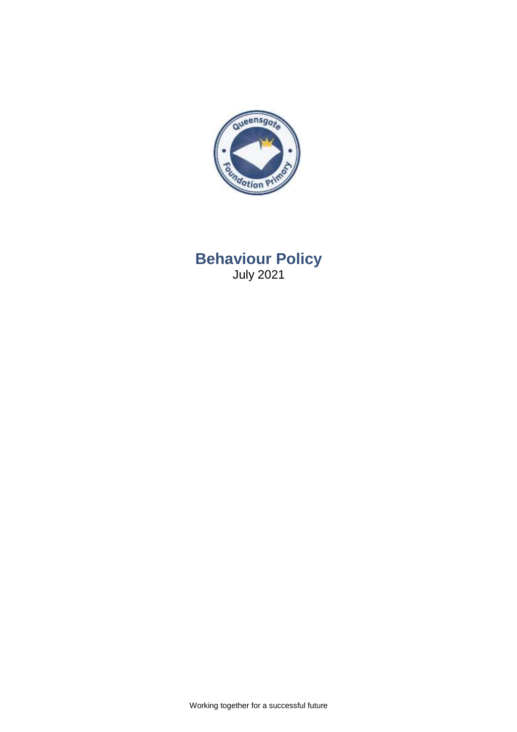

# **Behaviour Policy** July 2021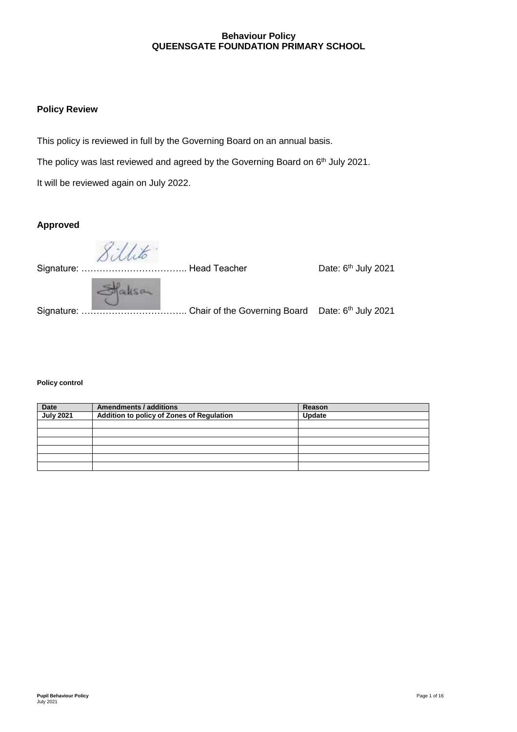#### **Behaviour Policy QUEENSGATE FOUNDATION PRIMARY SCHOOL**

### **Policy Review**

This policy is reviewed in full by the Governing Board on an annual basis.

The policy was last reviewed and agreed by the Governing Board on 6<sup>th</sup> July 2021.

It will be reviewed again on July 2022.

# **Approved**

Date: 6<sup>th</sup> July 2021 Signature: …………………………….. Head Teacher Date: 6 Stackson Signature: …………………………….. Chair of the Governing Board Date: 6 th July 2021

#### **Policy control**

| <b>Date</b>      | <b>Amendments / additions</b>                    | Reason |
|------------------|--------------------------------------------------|--------|
| <b>July 2021</b> | <b>Addition to policy of Zones of Regulation</b> | Update |
|                  |                                                  |        |
|                  |                                                  |        |
|                  |                                                  |        |
|                  |                                                  |        |
|                  |                                                  |        |
|                  |                                                  |        |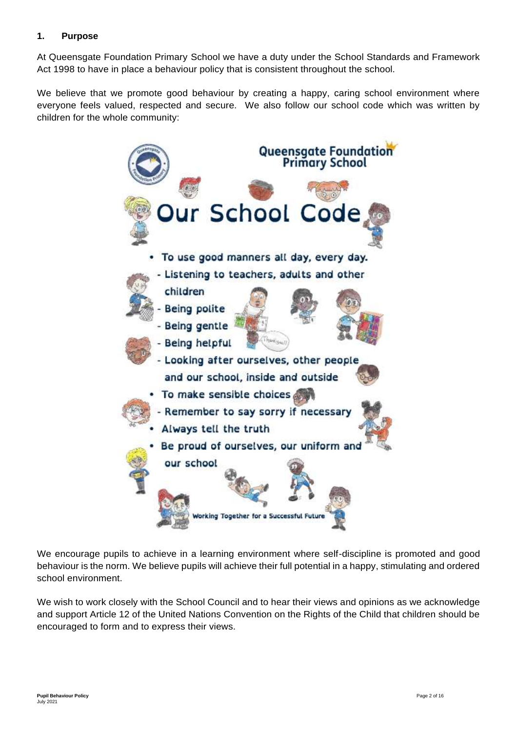## **1. Purpose**

At Queensgate Foundation Primary School we have a duty under the School Standards and Framework Act 1998 to have in place a behaviour policy that is consistent throughout the school.

We believe that we promote good behaviour by creating a happy, caring school environment where everyone feels valued, respected and secure. We also follow our school code which was written by children for the whole community:



We encourage pupils to achieve in a learning environment where self-discipline is promoted and good behaviour is the norm. We believe pupils will achieve their full potential in a happy, stimulating and ordered school environment.

We wish to work closely with the School Council and to hear their views and opinions as we acknowledge and support Article 12 of the United Nations Convention on the Rights of the Child that children should be encouraged to form and to express their views.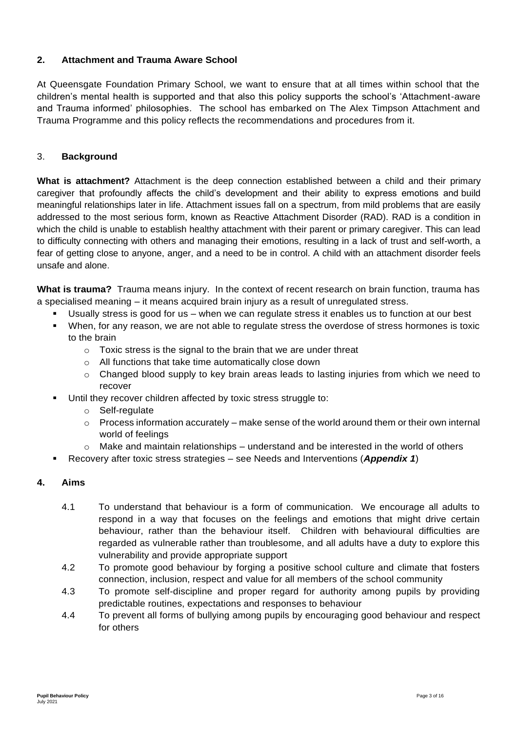# **2. Attachment and Trauma Aware School**

At Queensgate Foundation Primary School, we want to ensure that at all times within school that the children's mental health is supported and that also this policy supports the school's 'Attachment-aware and Trauma informed' philosophies. The school has embarked on The Alex Timpson Attachment and Trauma Programme and this policy reflects the recommendations and procedures from it.

## 3. **Background**

**What is attachment?** Attachment is the deep connection established between a child and their primary caregiver that profoundly affects the child's development and their ability to express emotions and [build](https://www.helpguide.org/articles/relationships-communication/attachment-and-adult-relationships.htm)  [meaningful relationships](https://www.helpguide.org/articles/relationships-communication/attachment-and-adult-relationships.htm) later in life. Attachment issues fall on a spectrum, from mild problems that are easily addressed to the most serious form, known as Reactive Attachment Disorder (RAD). RAD is a condition in which the child is unable to establish healthy attachment with their parent or primary caregiver. This can lead to difficulty connecting with others and managing their emotions, resulting in a lack of trust and self-worth, a fear of getting close to anyone, anger, and a need to be in control. A child with an attachment disorder feels unsafe and alone.

**What is trauma?** Trauma means injury. In the context of recent research on brain function, trauma has a specialised meaning – it means acquired brain injury as a result of unregulated stress.

- Usually stress is good for us when we can regulate stress it enables us to function at our best
- When, for any reason, we are not able to regulate stress the overdose of stress hormones is toxic to the brain
	- $\circ$  Toxic stress is the signal to the brain that we are under threat
	- o All functions that take time automatically close down
	- o Changed blood supply to key brain areas leads to lasting injuries from which we need to recover
- Until they recover children affected by toxic stress struggle to:
	- o Self-regulate
	- $\circ$  Process information accurately make sense of the world around them or their own internal world of feelings
	- $\circ$  Make and maintain relationships understand and be interested in the world of others
- Recovery after toxic stress strategies see Needs and Interventions (*Appendix 1*)

#### **4. Aims**

- 4.1 To understand that behaviour is a form of communication. We encourage all adults to respond in a way that focuses on the feelings and emotions that might drive certain behaviour, rather than the behaviour itself. Children with behavioural difficulties are regarded as vulnerable rather than troublesome, and all adults have a duty to explore this vulnerability and provide appropriate support
- 4.2 To promote good behaviour by forging a positive school culture and climate that fosters connection, inclusion, respect and value for all members of the school community
- 4.3 To promote self-discipline and proper regard for authority among pupils by providing predictable routines, expectations and responses to behaviour
- 4.4 To prevent all forms of bullying among pupils by encouraging good behaviour and respect for others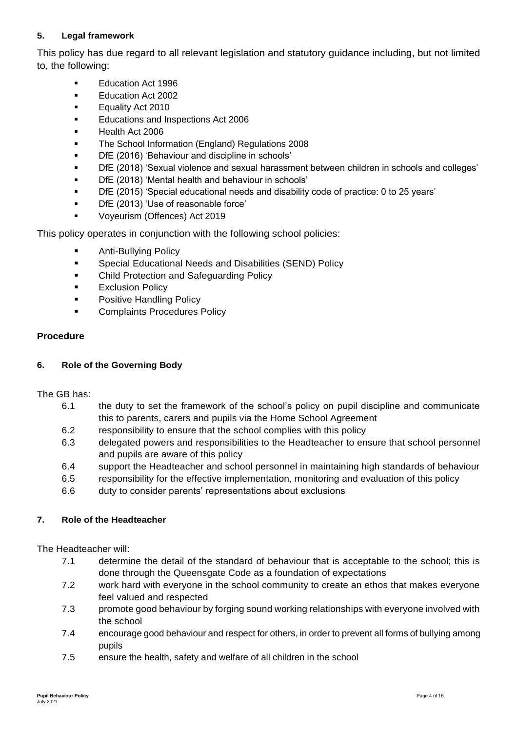# **5. Legal framework**

This policy has due regard to all relevant legislation and statutory guidance including, but not limited to, the following:

- Education Act 1996
- **Education Act 2002**
- Equality Act 2010
- **Educations and Inspections Act 2006**
- **Health Act 2006**
- **The School Information (England) Regulations 2008**
- **DfE** (2016) 'Behaviour and discipline in schools'
- DfE (2018) 'Sexual violence and sexual harassment between children in schools and colleges'
- DfE (2018) 'Mental health and behaviour in schools'
- DfE (2015) 'Special educational needs and disability code of practice: 0 to 25 years'
- **DfE** (2013) 'Use of reasonable force'
- **Voyeurism (Offences) Act 2019**

This policy operates in conjunction with the following school policies:

- **Anti-Bullying Policy**
- **Special Educational Needs and Disabilities (SEND) Policy**
- **EXEC** Child Protection and Safeguarding Policy
- **Exclusion Policy**
- **Positive Handling Policy**
- **EXECOMPLAINTS Procedures Policy**

### **Procedure**

#### **6. Role of the Governing Body**

The GB has:

- 6.1 the duty to set the framework of the school's policy on pupil discipline and communicate this to parents, carers and pupils via the Home School Agreement
- 6.2 responsibility to ensure that the school complies with this policy
- 6.3 delegated powers and responsibilities to the Headteacher to ensure that school personnel and pupils are aware of this policy
- 6.4 support the Headteacher and school personnel in maintaining high standards of behaviour
- 6.5 responsibility for the effective implementation, monitoring and evaluation of this policy
- 6.6 duty to consider parents' representations about exclusions

#### **7. Role of the Headteacher**

The Headteacher will:

- 7.1 determine the detail of the standard of behaviour that is acceptable to the school; this is done through the Queensgate Code as a foundation of expectations
- 7.2 work hard with everyone in the school community to create an ethos that makes everyone feel valued and respected
- 7.3 promote good behaviour by forging sound working relationships with everyone involved with the school
- 7.4 encourage good behaviour and respect for others, in order to prevent all forms of bullying among pupils
- 7.5 ensure the health, safety and welfare of all children in the school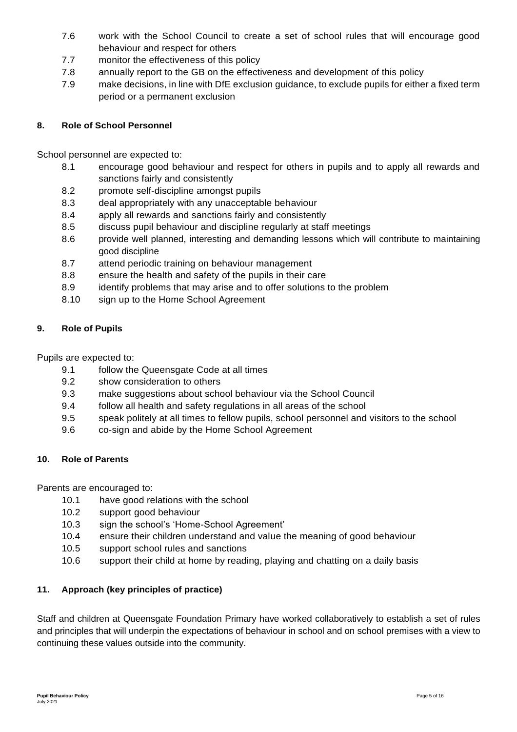- 7.6 work with the School Council to create a set of school rules that will encourage good behaviour and respect for others
- 7.7 monitor the effectiveness of this policy
- 7.8 annually report to the GB on the effectiveness and development of this policy
- 7.9 make decisions, in line with DfE exclusion guidance, to exclude pupils for either a fixed term period or a permanent exclusion

### **8. Role of School Personnel**

School personnel are expected to:

- 8.1 encourage good behaviour and respect for others in pupils and to apply all rewards and sanctions fairly and consistently
- 8.2 promote self-discipline amongst pupils
- 8.3 deal appropriately with any unacceptable behaviour
- 8.4 apply all rewards and sanctions fairly and consistently
- 8.5 discuss pupil behaviour and discipline regularly at staff meetings
- 8.6 provide well planned, interesting and demanding lessons which will contribute to maintaining good discipline
- 8.7 attend periodic training on behaviour management
- 8.8 ensure the health and safety of the pupils in their care
- 8.9 identify problems that may arise and to offer solutions to the problem
- 8.10 sign up to the Home School Agreement

#### **9. Role of Pupils**

Pupils are expected to:

- 9.1 follow the Queensgate Code at all times
- 9.2 show consideration to others
- 9.3 make suggestions about school behaviour via the School Council
- 9.4 follow all health and safety regulations in all areas of the school
- 9.5 speak politely at all times to fellow pupils, school personnel and visitors to the school
- 9.6 co-sign and abide by the Home School Agreement

#### **10. Role of Parents**

Parents are encouraged to:

- 10.1 have good relations with the school
- 10.2 support good behaviour
- 10.3 sign the school's 'Home-School Agreement'
- 10.4 ensure their children understand and value the meaning of good behaviour
- 10.5 support school rules and sanctions
- 10.6 support their child at home by reading, playing and chatting on a daily basis

#### **11. Approach (key principles of practice)**

Staff and children at Queensgate Foundation Primary have worked collaboratively to establish a set of rules and principles that will underpin the expectations of behaviour in school and on school premises with a view to continuing these values outside into the community.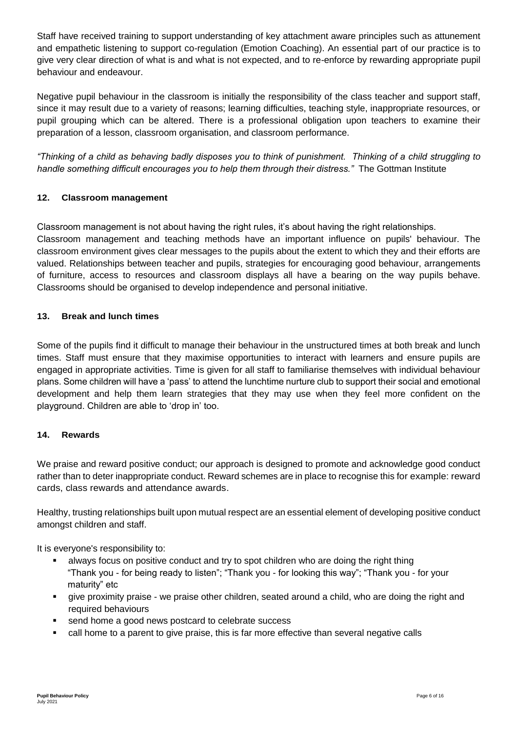Staff have received training to support understanding of key attachment aware principles such as attunement and empathetic listening to support co-regulation (Emotion Coaching). An essential part of our practice is to give very clear direction of what is and what is not expected, and to re-enforce by rewarding appropriate pupil behaviour and endeavour.

Negative pupil behaviour in the classroom is initially the responsibility of the class teacher and support staff, since it may result due to a variety of reasons; learning difficulties, teaching style, inappropriate resources, or pupil grouping which can be altered. There is a professional obligation upon teachers to examine their preparation of a lesson, classroom organisation, and classroom performance.

*"Thinking of a child as behaving badly disposes you to think of punishment. Thinking of a child struggling to handle something difficult encourages you to help them through their distress."* The Gottman Institute

## **12. Classroom management**

Classroom management is not about having the right rules, it's about having the right relationships. Classroom management and teaching methods have an important influence on pupils' behaviour. The classroom environment gives clear messages to the pupils about the extent to which they and their efforts are valued. Relationships between teacher and pupils, strategies for encouraging good behaviour, arrangements of furniture, access to resources and classroom displays all have a bearing on the way pupils behave. Classrooms should be organised to develop independence and personal initiative.

### **13. Break and lunch times**

Some of the pupils find it difficult to manage their behaviour in the unstructured times at both break and lunch times. Staff must ensure that they maximise opportunities to interact with learners and ensure pupils are engaged in appropriate activities. Time is given for all staff to familiarise themselves with individual behaviour plans. Some children will have a 'pass' to attend the lunchtime nurture club to support their social and emotional development and help them learn strategies that they may use when they feel more confident on the playground. Children are able to 'drop in' too.

## **14. Rewards**

We praise and reward positive conduct; our approach is designed to promote and acknowledge good conduct rather than to deter inappropriate conduct. Reward schemes are in place to recognise this for example: reward cards, class rewards and attendance awards.

Healthy, trusting relationships built upon mutual respect are an essential element of developing positive conduct amongst children and staff.

It is everyone's responsibility to:

- always focus on positive conduct and try to spot children who are doing the right thing "Thank you - for being ready to listen"; "Thank you - for looking this way"; "Thank you - for your maturity" etc
- give proximity praise we praise other children, seated around a child, who are doing the right and required behaviours
- send home a good news postcard to celebrate success
- call home to a parent to give praise, this is far more effective than several negative calls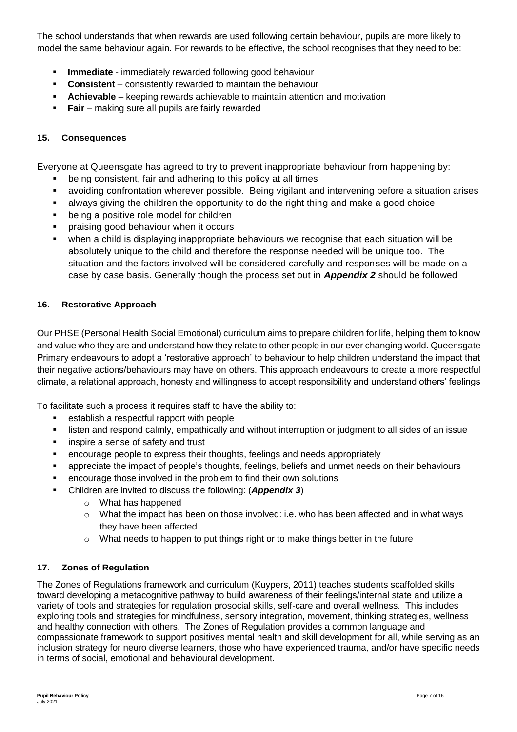The school understands that when rewards are used following certain behaviour, pupils are more likely to model the same behaviour again. For rewards to be effective, the school recognises that they need to be:

- **Immediate** immediately rewarded following good behaviour
- **Consistent** consistently rewarded to maintain the behaviour
- **Achievable** keeping rewards achievable to maintain attention and motivation
- **Fair** making sure all pupils are fairly rewarded

### **15. Consequences**

Everyone at Queensgate has agreed to try to prevent inappropriate behaviour from happening by:

- being consistent, fair and adhering to this policy at all times
- avoiding confrontation wherever possible. Being vigilant and intervening before a situation arises
- always giving the children the opportunity to do the right thing and make a good choice
- being a positive role model for children
- **Peralle in a praising good behaviour when it occurs**
- when a child is displaying inappropriate behaviours we recognise that each situation will be absolutely unique to the child and therefore the response needed will be unique too. The situation and the factors involved will be considered carefully and responses will be made on a case by case basis. Generally though the process set out in *Appendix 2* should be followed

#### **16. Restorative Approach**

Our PHSE (Personal Health Social Emotional) curriculum aims to prepare children for life, helping them to know and value who they are and understand how they relate to other people in our ever changing world. Queensgate Primary endeavours to adopt a 'restorative approach' to behaviour to help children understand the impact that their negative actions/behaviours may have on others. This approach endeavours to create a more respectful climate, a relational approach, honesty and willingness to accept responsibility and understand others' feelings

To facilitate such a process it requires staff to have the ability to:

- **EXECTE EXECTE I** establish a respectful rapport with people
- listen and respond calmly, empathically and without interruption or judgment to all sides of an issue
- **i** inspire a sense of safety and trust
- encourage people to express their thoughts, feelings and needs appropriately
- appreciate the impact of people's thoughts, feelings, beliefs and unmet needs on their behaviours
- encourage those involved in the problem to find their own solutions
- Children are invited to discuss the following: (*Appendix 3*)
	- o What has happened
	- $\circ$  What the impact has been on those involved: i.e. who has been affected and in what ways they have been affected
	- $\circ$  What needs to happen to put things right or to make things better in the future

#### **17. Zones of Regulation**

The Zones of Regulations framework and curriculum (Kuypers, 2011) teaches students scaffolded skills toward developing a metacognitive pathway to build awareness of their feelings/internal state and utilize a variety of tools and strategies for regulation prosocial skills, self-care and overall wellness. This includes exploring tools and strategies for mindfulness, sensory integration, movement, thinking strategies, wellness and healthy connection with others. The Zones of Regulation provides a common language and compassionate framework to support positives mental health and skill development for all, while serving as an inclusion strategy for neuro diverse learners, those who have experienced trauma, and/or have specific needs in terms of social, emotional and behavioural development.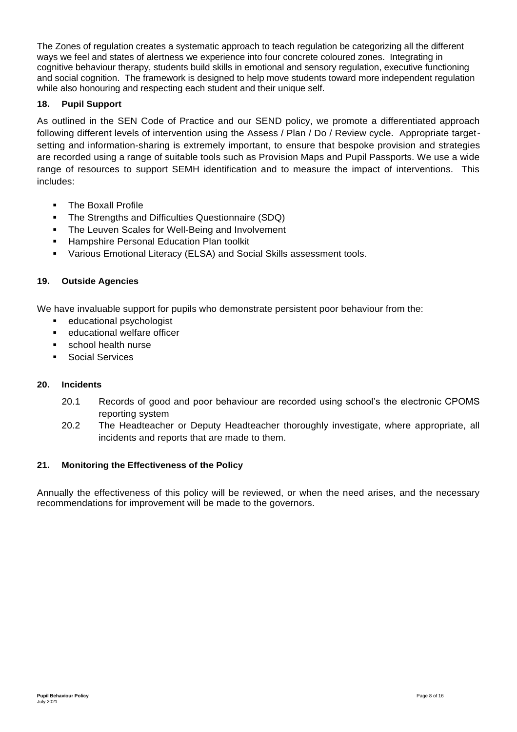The Zones of regulation creates a systematic approach to teach regulation be categorizing all the different ways we feel and states of alertness we experience into four concrete coloured zones. Integrating in cognitive behaviour therapy, students build skills in emotional and sensory regulation, executive functioning and social cognition. The framework is designed to help move students toward more independent regulation while also honouring and respecting each student and their unique self.

### **18. Pupil Support**

As outlined in the SEN Code of Practice and our SEND policy, we promote a differentiated approach following different levels of intervention using the Assess / Plan / Do / Review cycle. Appropriate targetsetting and information-sharing is extremely important, to ensure that bespoke provision and strategies are recorded using a range of suitable tools such as Provision Maps and Pupil Passports. We use a wide range of resources to support SEMH identification and to measure the impact of interventions. This includes:

- The Boxall Profile
- The Strengths and Difficulties Questionnaire (SDQ)
- The Leuven Scales for Well-Being and Involvement
- Hampshire Personal Education Plan toolkit
- Various Emotional Literacy (ELSA) and Social Skills assessment tools.

### **19. Outside Agencies**

We have invaluable support for pupils who demonstrate persistent poor behaviour from the:

- **educational psychologist**
- **EXEC** educational welfare officer
- school health nurse
- Social Services

#### **20. Incidents**

- 20.1 Records of good and poor behaviour are recorded using school's the electronic CPOMS reporting system
- 20.2 The Headteacher or Deputy Headteacher thoroughly investigate, where appropriate, all incidents and reports that are made to them.

#### **21. Monitoring the Effectiveness of the Policy**

Annually the effectiveness of this policy will be reviewed, or when the need arises, and the necessary recommendations for improvement will be made to the governors.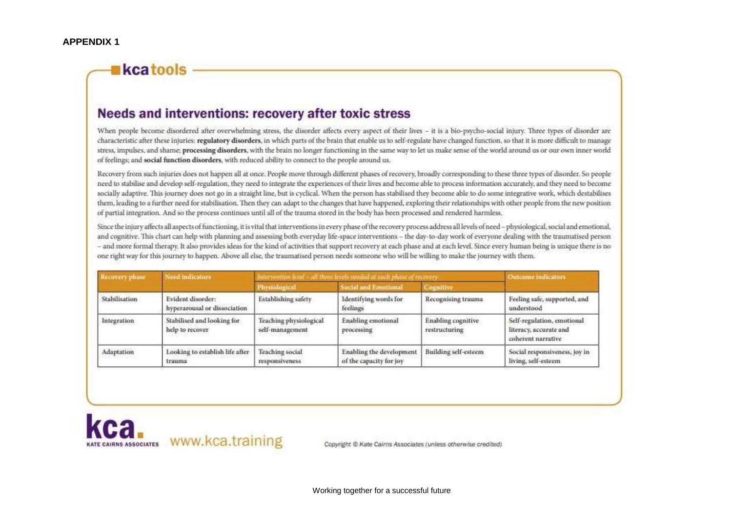# kcatools

# Needs and interventions: recovery after toxic stress

When people become disordered after overwhelming stress, the disorder affects every aspect of their lives - it is a bio-psycho-social injury. Three types of disorder are characteristic after these injuries: regulatory disorders, in which parts of the brain that enable us to self-regulate have changed function, so that it is more difficult to manage stress, impulses, and shame; processing disorders, with the brain no longer functioning in the same way to let us make sense of the world around us or our own inner world of feelings; and social function disorders, with reduced ability to connect to the people around us.

Recovery from such injuries does not happen all at once. People move through different phases of recovery, broadly corresponding to these three types of disorder. So people need to stabilise and develop self-regulation, they need to integrate the experiences of their lives and become able to process information accurately, and they need to become socially adaptive. This journey does not go in a straight line, but is cyclical. When the person has stabilised they become able to do some integrative work, which destabilises them, leading to a further need for stabilisation. Then they can adapt to the changes that have happened, exploring their relationships with other people from the new position of partial integration. And so the process continues until all of the trauma stored in the body has been processed and rendered harmless,

Since the injury affects all aspects of functioning, it is vital that interventions in every phase of the recovery process address all levels of need - physiological, social and emotional, and cognitive. This chart can help with planning and assessing both everyday life-space interventions - the day-to-day work of everyone dealing with the traumatised person - and more formal therapy. It also provides ideas for the kind of activities that support recovery at each phase and at each level. Since every human being is unique there is no one right way for this journey to happen. Above all else, the traumatised person needs someone who will be willing to make the journey with them.

| Recovery phase | Need indicators                                   | tervention level – all three levels needed at each platter.               | Outcomeindicators                                   |                                                                                     |                                                                            |
|----------------|---------------------------------------------------|---------------------------------------------------------------------------|-----------------------------------------------------|-------------------------------------------------------------------------------------|----------------------------------------------------------------------------|
|                |                                                   |                                                                           | <b>Social and Emotional</b>                         | enits                                                                               |                                                                            |
| Stabilisation  | Evident disorder:<br>hyperarousal or dissociation | Establishing safety                                                       | Identifying words for<br>feelings                   | Recognising trauma                                                                  | Feeling safe, supported, and<br>understood                                 |
| Integration    | Stabilised and looking for<br>help to recover     | Teaching physiological<br>self-management<br>108. SILVERADO DE LO DE 1994 | Enabling emotional<br>processing                    | Enabling cognitive<br>restructuring<br>a boro il interior provincia con a Controllo | Self-regulation, emotional<br>literacy, accurate and<br>coherent narrative |
| Adaptation     | Looking to establish life after<br>trauma         | Teaching social<br>responsiveness                                         | Enabling the development<br>of the capacity for joy | Building self-esteem                                                                | Social responsiveness, joy in<br>living, self-esteem                       |

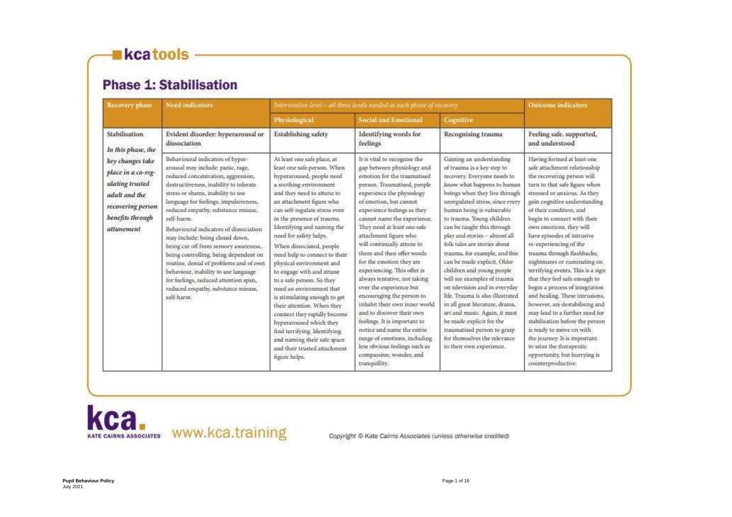# **Kcatools -**

# **Phase 1: Stabilisation**

| Recovery phase                                                                                                                    | Need indicators                                                                                                                                                                                                                                                                                                                                                                                                                                                                                                                                                                                                                       | Intervention level - all three levels needed at each phase of recovery.                                                                                                                                                                                                                                                                                                                                                                                                                                                                                                                                                                                                                                                    |                                                                                                                                                                                                                                                                                                                                                                                                                                                                                                                                                                                                                                                                                                                                                               |                                                                                                                                                                                                                                                                                                                                                                                                                                                                                                                                                                                                                                                                                                                                               | <b>Outcome</b> indicators:                                                                                                                                                                                                                                                                                                                                                                                                                                                                                                                                                                                                                                                                                                                                                                         |
|-----------------------------------------------------------------------------------------------------------------------------------|---------------------------------------------------------------------------------------------------------------------------------------------------------------------------------------------------------------------------------------------------------------------------------------------------------------------------------------------------------------------------------------------------------------------------------------------------------------------------------------------------------------------------------------------------------------------------------------------------------------------------------------|----------------------------------------------------------------------------------------------------------------------------------------------------------------------------------------------------------------------------------------------------------------------------------------------------------------------------------------------------------------------------------------------------------------------------------------------------------------------------------------------------------------------------------------------------------------------------------------------------------------------------------------------------------------------------------------------------------------------------|---------------------------------------------------------------------------------------------------------------------------------------------------------------------------------------------------------------------------------------------------------------------------------------------------------------------------------------------------------------------------------------------------------------------------------------------------------------------------------------------------------------------------------------------------------------------------------------------------------------------------------------------------------------------------------------------------------------------------------------------------------------|-----------------------------------------------------------------------------------------------------------------------------------------------------------------------------------------------------------------------------------------------------------------------------------------------------------------------------------------------------------------------------------------------------------------------------------------------------------------------------------------------------------------------------------------------------------------------------------------------------------------------------------------------------------------------------------------------------------------------------------------------|----------------------------------------------------------------------------------------------------------------------------------------------------------------------------------------------------------------------------------------------------------------------------------------------------------------------------------------------------------------------------------------------------------------------------------------------------------------------------------------------------------------------------------------------------------------------------------------------------------------------------------------------------------------------------------------------------------------------------------------------------------------------------------------------------|
|                                                                                                                                   |                                                                                                                                                                                                                                                                                                                                                                                                                                                                                                                                                                                                                                       | Physiological                                                                                                                                                                                                                                                                                                                                                                                                                                                                                                                                                                                                                                                                                                              | Social and Emotional                                                                                                                                                                                                                                                                                                                                                                                                                                                                                                                                                                                                                                                                                                                                          | Cognitive                                                                                                                                                                                                                                                                                                                                                                                                                                                                                                                                                                                                                                                                                                                                     |                                                                                                                                                                                                                                                                                                                                                                                                                                                                                                                                                                                                                                                                                                                                                                                                    |
| <b>Stabilisation</b><br>In this phase, the                                                                                        | Evident disorder: hyperarousal or<br>dissociation                                                                                                                                                                                                                                                                                                                                                                                                                                                                                                                                                                                     | Establishing safety                                                                                                                                                                                                                                                                                                                                                                                                                                                                                                                                                                                                                                                                                                        | Identifying words for<br>feelings                                                                                                                                                                                                                                                                                                                                                                                                                                                                                                                                                                                                                                                                                                                             | Recognising trauma:                                                                                                                                                                                                                                                                                                                                                                                                                                                                                                                                                                                                                                                                                                                           | Feeling safe. supported,<br>and understood                                                                                                                                                                                                                                                                                                                                                                                                                                                                                                                                                                                                                                                                                                                                                         |
| key changes take<br>place in a co-reg-<br>ulating trusted<br>adult and the<br>recovering person<br>benefits through<br>attunement | Behavioural indicators of hyper-<br>arousal may include: panic, rage,<br>reduced concentration, aggression,<br>destructiveness, inability to tolerate<br>stress or shame, inability to use<br>language for feelings, impulsiveness,<br>reduced empathy, substance misuse,<br>self-harm.<br>Behavioural indicators of dissociation<br>may include: being closed down,<br>being cut off from sensory awareness,<br>being controlling, being dependent on<br>routine, denial of problems and of own<br>behaviour, inability to use language<br>for feelings, reduced attention span,<br>reduced empathy, substance misuse,<br>self-harm. | At least one safe place, at<br>least one safe person. When<br>hyperaroused, people need<br>a soothing environment<br>and they need to attune to<br>an attachment figure who<br>can self-regulate stress even<br>in the presence of trauma.<br>Identifying and naming the<br>need for safety helps.<br>When dissociated, people<br>need help to connect to their<br>physical environment and<br>to engage with and attune<br>to a safe person. So they<br>need an environment that<br>is stimulating enough to get<br>their attention. When they<br>contiect they rapidly become<br>hyperaroused which they<br>find terrifying, Identifying<br>and naming their safe space<br>and their trusted attachment<br>figure helps. | It is vital to recognise the<br>gap between physiology and<br>emotion for the traumatised<br>person. Traumatised, people<br>experience the physiology<br>of emotion, but cannot.<br>experience feelings as they<br>cannot name the experience.<br>They need at least one safe<br>attachment figure who<br>will continually attune to<br>them and then offer words<br>for the emotion they are<br>experiencing. This offer is<br>always tentative, not taking<br>over the experience but<br>encouraging the person to<br>inhabit their own inner world<br>and to discover their own<br>feelings. It is important to<br>notice and name the entire<br>range of emotions, including<br>less obvious feelings such as<br>compassion, wonder, and<br>tranquillity. | Gaining an understanding<br>of trauma is a key step to<br>recovery. Everyone needs to<br>know what happens to human<br>beings when they live through<br>unregulated stress, since every<br>human being is vulnerable<br>to trauma. Young children<br>can be taught this through<br>play and stories - almost all<br>folk tales are stories about<br>trauma, for example, and this<br>can be made explicit. Older<br>children and young people<br>will see examples of trauma-<br>on television and in everyday<br>life. Trauma is also illustrated<br>in all great literature, drama,<br>art and music. Again, it must<br>be made explicit for the<br>traumatised person to grasp<br>for themselves the relevance<br>to their own experience. | Having formed at least one<br>safe attachment relationship<br>the recovering person will<br>turn to that safe figure when<br>stressed or anxious. As they<br>gain cognitive understanding<br>of their condition, and<br>begin to connect with their<br>own emotions, they will<br>have episodes of intrusive<br>re-experiencing of the<br>trauma through flashbacks;<br>nightmares or ruminating on<br>terrifying events. This is a sign<br>that they feel safe enough to<br>begin a process of integration<br>and healing. These intrusions,<br>however, are destabilising and<br>may lead to a further need for<br>stabilisation before the person<br>is ready to move on with<br>the journey. It is important<br>to seize the therapeutic<br>opportunity, but hurrying is<br>counterproductive. |

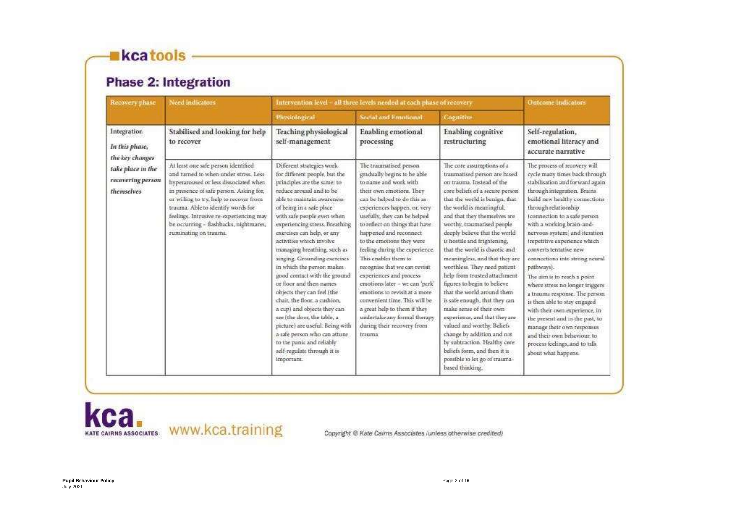# **Kcatools**

# **Phase 2: Integration**

| Recovery phase                                                          | <b>Need indicators</b>                                                                                                                                                                                                                                                                                                                                           | Intervention level - all three levels needed at each phase of recovery                                                                                                                                                                                                                                                                                                                                                                                                                                                                                                                                                                                                                                                                      |                                                                                                                                                                                                                                                                                                                                                                                                                                                                                                                                                                                                                                       |                                                                                                                                                                                                                                                                                                                                                                                                                                                                                                                                                                                                                                                                                                                                                                                                      | Outcome Indicators                                                                                                                                                                                                                                                                                                                                                                                                                                                                                                                                                                                                                                                                                                               |
|-------------------------------------------------------------------------|------------------------------------------------------------------------------------------------------------------------------------------------------------------------------------------------------------------------------------------------------------------------------------------------------------------------------------------------------------------|---------------------------------------------------------------------------------------------------------------------------------------------------------------------------------------------------------------------------------------------------------------------------------------------------------------------------------------------------------------------------------------------------------------------------------------------------------------------------------------------------------------------------------------------------------------------------------------------------------------------------------------------------------------------------------------------------------------------------------------------|---------------------------------------------------------------------------------------------------------------------------------------------------------------------------------------------------------------------------------------------------------------------------------------------------------------------------------------------------------------------------------------------------------------------------------------------------------------------------------------------------------------------------------------------------------------------------------------------------------------------------------------|------------------------------------------------------------------------------------------------------------------------------------------------------------------------------------------------------------------------------------------------------------------------------------------------------------------------------------------------------------------------------------------------------------------------------------------------------------------------------------------------------------------------------------------------------------------------------------------------------------------------------------------------------------------------------------------------------------------------------------------------------------------------------------------------------|----------------------------------------------------------------------------------------------------------------------------------------------------------------------------------------------------------------------------------------------------------------------------------------------------------------------------------------------------------------------------------------------------------------------------------------------------------------------------------------------------------------------------------------------------------------------------------------------------------------------------------------------------------------------------------------------------------------------------------|
|                                                                         |                                                                                                                                                                                                                                                                                                                                                                  | Physiological                                                                                                                                                                                                                                                                                                                                                                                                                                                                                                                                                                                                                                                                                                                               | <b>Social and Emotional</b>                                                                                                                                                                                                                                                                                                                                                                                                                                                                                                                                                                                                           | <b>Cognitive</b>                                                                                                                                                                                                                                                                                                                                                                                                                                                                                                                                                                                                                                                                                                                                                                                     |                                                                                                                                                                                                                                                                                                                                                                                                                                                                                                                                                                                                                                                                                                                                  |
| Integration<br>In this phase,                                           | Stabilised and looking for help<br>to recover                                                                                                                                                                                                                                                                                                                    | Teaching physiological<br>self-management                                                                                                                                                                                                                                                                                                                                                                                                                                                                                                                                                                                                                                                                                                   | Enabling emotional<br>processing                                                                                                                                                                                                                                                                                                                                                                                                                                                                                                                                                                                                      | <b>Enabling</b> cognitive<br>restructuring                                                                                                                                                                                                                                                                                                                                                                                                                                                                                                                                                                                                                                                                                                                                                           | Self-regulation,<br>emotional literacy and<br>accurate narrative                                                                                                                                                                                                                                                                                                                                                                                                                                                                                                                                                                                                                                                                 |
| the key changes<br>take place in the<br>recovering person<br>themselves | At least one safe person identified<br>and turned to when under stress. Less-<br>hyperaroused or less dissociated when<br>in presence of safe person. Asking for,<br>or willing to try, help to recover from<br>trauma. Able to identify words for<br>feelings. Intrusive re-experiencing may<br>be occurring - flashbacks, nightmares,<br>ruminating on trauma. | Different strategies work.<br>for different people, but the<br>principles are the same: to<br>reduce arousal and to be<br>able to maintain awareness-<br>of being in a safe place<br>with safe people even when<br>experiencing stress. Breathing<br>exercises can help, or any<br>activities which involve<br>managing breathing, such as<br>singing. Grounding exercises<br>in which the person makes<br>good contact with the ground<br>or floor and then names<br>objects they can feel (the<br>chair, the floor, a cushion,<br>a cup) and objects they can<br>see (the door, the table, a<br>picture) are useful. Being with<br>a safe person who can attune<br>to the panic and reliably<br>self-regulate through it is<br>important. | The traumatised person<br>gradually begins to be able<br>to name and work with<br>their own emotions. They<br>can be helped to do this as<br>experiences happen, or, very<br>usefully, they can be helped<br>to reflect on things that have<br>happened and reconnect<br>to the emotions they were<br>feeling during the experience.<br>This enables them to<br>recognise that we can revisit<br>experiences and process<br>emotions later - we can 'park'<br>emotions to revisit at a more<br>convenient time. This will be<br>a great help to them if they<br>undertake any formal therapy.<br>during their recovery from<br>trauma | The core assumptions of a<br>traumatised person are based<br>on trauma. Instead of the<br>core beliefs of a secure person<br>that the world is benign, that<br>the world is meaningful,<br>and that they themselves are<br>worthy, traumatised people<br>deeply believe that the world<br>is hostile and frightening,<br>that the world is chaotic and<br>meaningless, and that they are<br>worthless. They need patient-<br>help from trusted attachment<br>figures to begin to believe<br>that the world around them<br>is safe enough, that they can<br>make sense of their own<br>experience, and that they are:<br>valued and worthy. Beliefs<br>change by addition and not<br>by subtraction. Healthy core<br>beliefs form, and then it is<br>possible to let go of trauma-<br>based thinking. | The process of recovery will<br>cycle many times back through<br>stabilisation and forward again<br>through integration, Brains<br>build new healthy connections<br>through relationship.<br>(connection to a safe person<br>with a working brain-and-<br>nervous-system) and iteration<br>(repetitive experience which<br>converts tentative new<br>connections into strong neural<br>pathways).<br>The aim is to reach a point<br>where stress no longer triggers<br>a trauma response. The person<br>is then able to stay engaged.<br>with their own experience, in-<br>the present and in the past, to<br>manage their own responses<br>and their own behaviour, to<br>process feelings, and to talk.<br>about what happens. |

kca. KATE CAIRNS ASSOCIATES WWW.KCa.training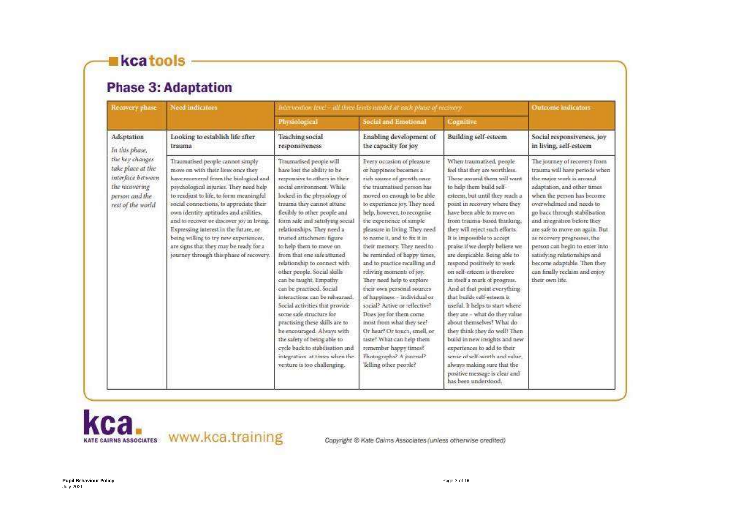# kcatools

# **Phase 3: Adaptation**

| Recovery phase                                                                                                     | Need indicators                                                                                                                                                                                                                                                                                                                                                                                                                                                                                                | Intervention level - all three levels needed at each phase of recovery.                                                                                                                                                                                                                                                                                                                                                                                                                                                                                                                                                                                                                                                                                                                        |                                                                                                                                                                                                                                                                                                                                                                                                                                                                                                                                                                                                                                                                                                                                                                     |                                                                                                                                                                                                                                                                                                                                                                                                                                                                                                                                                                                                                                                                                                                                                                                                                                                                               | Outcome indicators:                                                                                                                                                                                                                                                                                                                                                                                                                                                      |
|--------------------------------------------------------------------------------------------------------------------|----------------------------------------------------------------------------------------------------------------------------------------------------------------------------------------------------------------------------------------------------------------------------------------------------------------------------------------------------------------------------------------------------------------------------------------------------------------------------------------------------------------|------------------------------------------------------------------------------------------------------------------------------------------------------------------------------------------------------------------------------------------------------------------------------------------------------------------------------------------------------------------------------------------------------------------------------------------------------------------------------------------------------------------------------------------------------------------------------------------------------------------------------------------------------------------------------------------------------------------------------------------------------------------------------------------------|---------------------------------------------------------------------------------------------------------------------------------------------------------------------------------------------------------------------------------------------------------------------------------------------------------------------------------------------------------------------------------------------------------------------------------------------------------------------------------------------------------------------------------------------------------------------------------------------------------------------------------------------------------------------------------------------------------------------------------------------------------------------|-------------------------------------------------------------------------------------------------------------------------------------------------------------------------------------------------------------------------------------------------------------------------------------------------------------------------------------------------------------------------------------------------------------------------------------------------------------------------------------------------------------------------------------------------------------------------------------------------------------------------------------------------------------------------------------------------------------------------------------------------------------------------------------------------------------------------------------------------------------------------------|--------------------------------------------------------------------------------------------------------------------------------------------------------------------------------------------------------------------------------------------------------------------------------------------------------------------------------------------------------------------------------------------------------------------------------------------------------------------------|
|                                                                                                                    |                                                                                                                                                                                                                                                                                                                                                                                                                                                                                                                | Physiological                                                                                                                                                                                                                                                                                                                                                                                                                                                                                                                                                                                                                                                                                                                                                                                  | Social and Emotional                                                                                                                                                                                                                                                                                                                                                                                                                                                                                                                                                                                                                                                                                                                                                | Cognitive                                                                                                                                                                                                                                                                                                                                                                                                                                                                                                                                                                                                                                                                                                                                                                                                                                                                     |                                                                                                                                                                                                                                                                                                                                                                                                                                                                          |
| Adaptation<br>In this phase,                                                                                       | Looking to establish life after<br>trauma                                                                                                                                                                                                                                                                                                                                                                                                                                                                      | Teaching social<br>responsiveness                                                                                                                                                                                                                                                                                                                                                                                                                                                                                                                                                                                                                                                                                                                                                              | Enabling development of<br>the capacity for joy                                                                                                                                                                                                                                                                                                                                                                                                                                                                                                                                                                                                                                                                                                                     | <b>Building self-esteem</b>                                                                                                                                                                                                                                                                                                                                                                                                                                                                                                                                                                                                                                                                                                                                                                                                                                                   | Social responsiveness, joy<br>in living, self-esteem                                                                                                                                                                                                                                                                                                                                                                                                                     |
| the key changes<br>take place at the<br>interface between<br>the recovering<br>person and the<br>rest of the world | Traumatised people cannot simply<br>move on with their lives once they<br>have recovered from the biological and<br>psychological injuries. They need help<br>to readjust to life, to form meaningful<br>social connections, to appreciate their<br>own identity, aptitudes and abilities,<br>and to recover or discover joy in living.<br>Expressing interest in the future, or<br>being willing to try new experiences,<br>are signs that they may be ready for a<br>journey through this phase of recovery. | Traumatised people will<br>have lost the ability to be<br>responsive to others in their<br>social environment. While<br>locked in the physiology of<br>trauma they cannot attune<br>flexibly to other people and<br>form safe and satisfying social<br>relationships. They need a<br>trusted attachment figure<br>to help them to move on<br>from that one safe attuned<br>relationship to connect with<br>other people. Social skills<br>can be taught. Empathy.<br>can be practised. Social<br>interactions can be rehearsed.<br>Social activities that provide<br>some safe structure for<br>practising these skills are to<br>be encouraged. Always with<br>the safety of being able to<br>cycle back to stabilisation and<br>integration at times when the<br>venture is too challenging. | Every occasion of pleasure<br>or happiness becomes a<br>rich source of growth once<br>the traumatised person has<br>moved on enough to be able.<br>to experience joy. They need<br>help, however, to recognise<br>the experience of simple<br>pleasure in living. They need<br>to name it, and to fix it in<br>their memory. They need to<br>be reminded of happy times,<br>and to practice recalling and<br>reliving moments of joy.<br>They need help to explore<br>their own personal sources<br>of happiness - individual or-<br>social? Active or reflective?<br>Does joy for them come<br>most from what they see?<br>Or hear? Or touch, smell, or-<br>taste? What can help them<br>remember happy times?<br>Photographs? A journal?<br>Telling other people? | When traumatised, people<br>feel that they are worthless.<br>Those around them will want<br>to help them build self-<br>esteem, but until they reach a<br>point in recovery where they<br>have been able to move on<br>from trauma-based thinking.<br>they will reject such efforts.<br>It is impossible to accept<br>praise if we deeply believe we<br>are despicable. Being able to<br>respond positively to work<br>on self-esteem is therefore<br>in itself a mark of progress.<br>And at that point everything<br>that builds self-esteem is<br>useful. It helps to start where<br>they are - what do they value<br>about themselves? What do<br>they think they do well? Then<br>build in new insights and new<br>experiences to add to their<br>sense of self-worth and value.<br>always making sure that the<br>positive message is clear and<br>has been understood. | The journey of recovery from<br>trauma will have periods when<br>the major work is around<br>adaptation, and other times<br>when the person has become<br>overwhelmed and needs to<br>go back through stabilisation<br>and integration before they<br>are safe to move on again. But<br>as recovery progresses, the<br>person can begin to enter into<br>satisfying relationships and<br>become adaptable. Then they<br>can finally reclaim and enjoy<br>their own life. |

kca.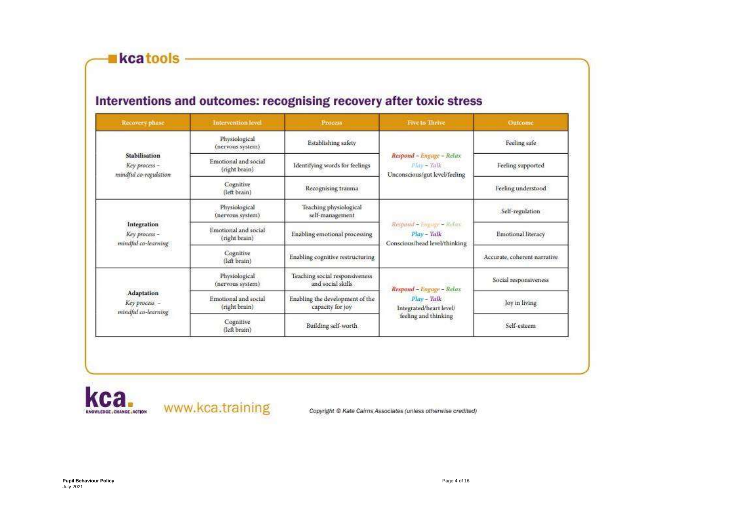kcatools

# Interventions and outcomes: recognising recovery after toxic stress

| Recovery phase                                                 | <b>Intervention level</b>             | <b>Process</b>                                      | <b>Five to Thrive</b>                                                      | Outcome                      |
|----------------------------------------------------------------|---------------------------------------|-----------------------------------------------------|----------------------------------------------------------------------------|------------------------------|
| <b>Stabilisation</b><br>Key process -<br>mindful co-regulation | Physiological<br>(nervous system)     | Establishing safety                                 |                                                                            | Feeling safe                 |
|                                                                | Emotional and social<br>(right brain) | Identifying words for feelings                      | Respond - Engage - Relax<br>$M$ ay - Talk<br>Unconscious/gut level/feeling | Feeling supported            |
|                                                                | Cognitive<br>(left brain)             | Recognising trauma                                  |                                                                            | Feeling understood           |
| Integration<br>Key process -<br>mindful co-learning            | Physiological<br>(nervous system)     | Teaching physiological<br>self-management           |                                                                            | Self-regulation              |
|                                                                | Emotional and social<br>(right brain) | Enabling emotional processing                       | Respond - Empage - Refere<br>Play - Talk<br>Conscious/head level/thinking  | Emotional literacy           |
|                                                                | Cognitive<br>(left brain)             | Enabling cognitive restructuring                    |                                                                            | Accurate, coherent narrative |
| Adaptation<br>Key process -<br>mindful co-learning             | Physiological<br>(nervous system)     | Teaching social responsiveness<br>and social skills | Respond - Engage - Relax                                                   | Social responsiveness        |
|                                                                | Emotional and social<br>(right brain) | Enabling the development of the<br>capacity for joy | $Plav - Talk$<br>Integrated/heart level/                                   | Joy in living                |
|                                                                | Cognitive<br>(left brain)             | Building self-worth                                 | feeling and thinking                                                       | Self-esteem                  |

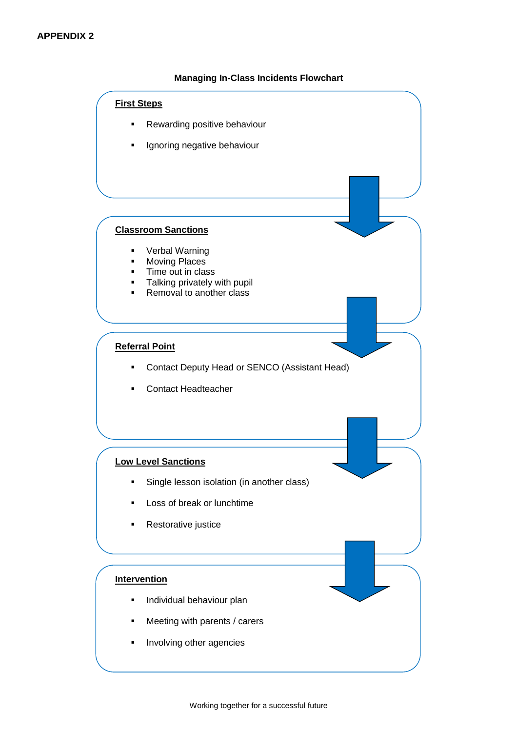